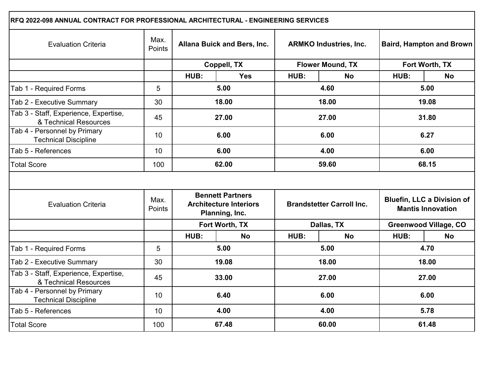| RFQ 2022-098 ANNUAL CONTRACT FOR PROFESSIONAL ARCHITECTURAL - ENGINEERING SERVICES |                |                                                                            |                |                                  |                         |                                                               |                              |  |
|------------------------------------------------------------------------------------|----------------|----------------------------------------------------------------------------|----------------|----------------------------------|-------------------------|---------------------------------------------------------------|------------------------------|--|
| <b>Evaluation Criteria</b>                                                         | Max.<br>Points | Allana Buick and Bers, Inc.                                                |                | <b>ARMKO Industries, Inc.</b>    |                         | <b>Baird, Hampton and Brown</b>                               |                              |  |
|                                                                                    |                | Coppell, TX                                                                |                |                                  | <b>Flower Mound, TX</b> | Fort Worth, TX                                                |                              |  |
|                                                                                    |                | HUB:                                                                       | <b>Yes</b>     | HUB:                             | <b>No</b>               | HUB:                                                          | <b>No</b>                    |  |
| Tab 1 - Required Forms                                                             | 5              | 5.00                                                                       |                | 4.60                             |                         |                                                               | 5.00                         |  |
| Tab 2 - Executive Summary                                                          | 30             |                                                                            | 18.00          | 18.00                            |                         |                                                               | 19.08                        |  |
| Tab 3 - Staff, Experience, Expertise,<br>& Technical Resources                     | 45             |                                                                            | 27.00          |                                  | 27.00                   |                                                               | 31.80                        |  |
| Tab 4 - Personnel by Primary<br><b>Technical Discipline</b>                        | 10             |                                                                            | 6.00           | 6.00                             |                         | 6.27                                                          |                              |  |
| Tab 5 - References                                                                 | 10             | 6.00                                                                       |                | 4.00                             |                         | 6.00                                                          |                              |  |
| <b>Total Score</b>                                                                 | 100            | 62.00                                                                      |                | 59.60                            |                         | 68.15                                                         |                              |  |
| <b>Evaluation Criteria</b>                                                         | Max.<br>Points | <b>Bennett Partners</b><br><b>Architecture Interiors</b><br>Planning, Inc. |                | <b>Brandstetter Carroll Inc.</b> |                         | <b>Bluefin, LLC a Division of</b><br><b>Mantis Innovation</b> |                              |  |
|                                                                                    |                |                                                                            | Fort Worth, TX | Dallas, TX                       |                         |                                                               | <b>Greenwood Village, CO</b> |  |
|                                                                                    |                | HUB:                                                                       | <b>No</b>      | HUB:                             | <b>No</b>               | HUB:                                                          | <b>No</b>                    |  |
| Tab 1 - Required Forms                                                             | 5              |                                                                            | 5.00           | 5.00                             |                         | 4.70                                                          |                              |  |
| Tab 2 - Executive Summary                                                          | 30             | 19.08                                                                      |                | 18.00                            |                         | 18.00                                                         |                              |  |
| Tab 3 - Staff, Experience, Expertise,<br>& Technical Resources                     | 45             | 33.00                                                                      |                | 27.00                            |                         | 27.00                                                         |                              |  |
| Tab 4 - Personnel by Primary<br><b>Technical Discipline</b>                        | 10             | 6.40                                                                       |                | 6.00                             |                         | 6.00                                                          |                              |  |
| Tab 5 - References                                                                 | 10             |                                                                            | 4.00           | 4.00                             |                         | 5.78                                                          |                              |  |
| <b>Total Score</b>                                                                 | 100            | 67.48                                                                      |                | 60.00                            |                         | 61.48                                                         |                              |  |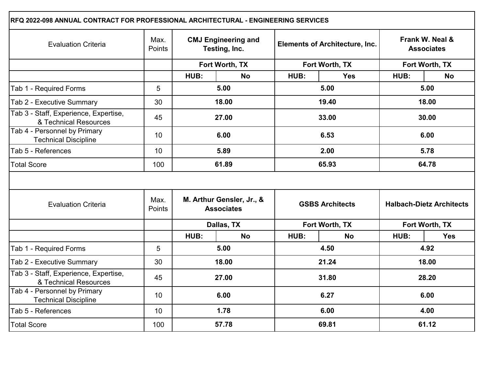| RFQ 2022-098 ANNUAL CONTRACT FOR PROFESSIONAL ARCHITECTURAL - ENGINEERING SERVICES |                 |                                                |            |                                       |                |                                      |                |  |
|------------------------------------------------------------------------------------|-----------------|------------------------------------------------|------------|---------------------------------------|----------------|--------------------------------------|----------------|--|
| <b>Evaluation Criteria</b>                                                         | Max.<br>Points  | <b>CMJ Engineering and</b><br>Testing, Inc.    |            | <b>Elements of Architecture, Inc.</b> |                | Frank W. Neal &<br><b>Associates</b> |                |  |
|                                                                                    |                 | Fort Worth, TX                                 |            |                                       | Fort Worth, TX |                                      | Fort Worth, TX |  |
|                                                                                    |                 | HUB:                                           | <b>No</b>  | HUB:                                  | <b>Yes</b>     | HUB:                                 | <b>No</b>      |  |
| Tab 1 - Required Forms                                                             | 5               | 5.00                                           |            | 5.00                                  |                | 5.00                                 |                |  |
| Tab 2 - Executive Summary                                                          | 30              |                                                | 18.00      |                                       | 19.40          |                                      | 18.00          |  |
| Tab 3 - Staff, Experience, Expertise,<br>& Technical Resources                     | 45              |                                                | 27.00      |                                       | 33.00          | 30.00                                |                |  |
| Tab 4 - Personnel by Primary<br><b>Technical Discipline</b>                        | 10 <sup>°</sup> |                                                | 6.00       | 6.53                                  |                | 6.00                                 |                |  |
| Tab 5 - References                                                                 | 10 <sup>°</sup> | 5.89                                           |            | 2.00                                  |                | 5.78                                 |                |  |
| <b>Total Score</b>                                                                 | 100             | 61.89                                          |            | 65.93                                 |                | 64.78                                |                |  |
| <b>Evaluation Criteria</b>                                                         | Max.<br>Points  | M. Arthur Gensler, Jr., &<br><b>Associates</b> |            | <b>GSBS Architects</b>                |                | <b>Halbach-Dietz Architects</b>      |                |  |
|                                                                                    |                 |                                                | Dallas, TX | Fort Worth, TX                        |                | Fort Worth, TX                       |                |  |
|                                                                                    |                 | HUB:                                           | <b>No</b>  | HUB:                                  | <b>No</b>      | HUB:                                 | <b>Yes</b>     |  |
| Tab 1 - Required Forms                                                             | 5               |                                                | 5.00       | 4.50                                  |                | 4.92                                 |                |  |
| Tab 2 - Executive Summary                                                          | 30              | 18.00                                          |            | 21.24                                 |                | 18.00                                |                |  |
| Tab 3 - Staff, Experience, Expertise,<br>& Technical Resources                     | 45              | 27.00                                          |            | 31.80                                 |                | 28.20                                |                |  |
| Tab 4 - Personnel by Primary<br><b>Technical Discipline</b>                        | 10 <sup>°</sup> | 6.00                                           |            | 6.27                                  |                | 6.00                                 |                |  |
| Tab 5 - References                                                                 | 10 <sup>°</sup> |                                                | 1.78       | 6.00                                  |                | 4.00                                 |                |  |
| <b>Total Score</b>                                                                 | 100             | 57.78                                          |            | 69.81                                 |                | 61.12                                |                |  |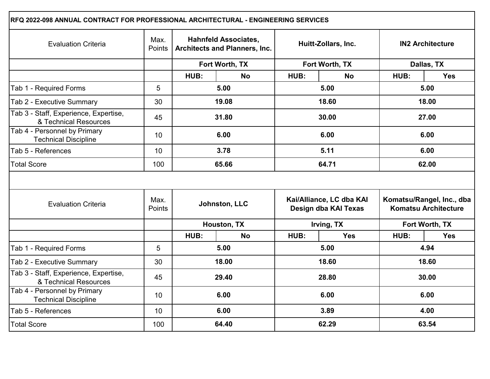| RFQ 2022-098 ANNUAL CONTRACT FOR PROFESSIONAL ARCHITECTURAL - ENGINEERING SERVICES |                |                                                                     |             |                                                  |                |                                                          |            |  |
|------------------------------------------------------------------------------------|----------------|---------------------------------------------------------------------|-------------|--------------------------------------------------|----------------|----------------------------------------------------------|------------|--|
| <b>Evaluation Criteria</b>                                                         | Max.<br>Points | <b>Hahnfeld Associates,</b><br><b>Architects and Planners, Inc.</b> |             | Huitt-Zollars, Inc.                              |                | <b>IN2 Architecture</b>                                  |            |  |
|                                                                                    |                | Fort Worth, TX                                                      |             |                                                  | Fort Worth, TX |                                                          | Dallas, TX |  |
|                                                                                    |                | HUB:                                                                | <b>No</b>   | HUB:                                             | <b>No</b>      | HUB:                                                     | <b>Yes</b> |  |
| Tab 1 - Required Forms                                                             | 5              | 5.00                                                                |             | 5.00                                             |                |                                                          | 5.00       |  |
| Tab 2 - Executive Summary                                                          | 30             |                                                                     | 19.08       |                                                  | 18.60          |                                                          | 18.00      |  |
| Tab 3 - Staff, Experience, Expertise,<br>& Technical Resources                     | 45             |                                                                     | 31.80       |                                                  | 30.00          |                                                          | 27.00      |  |
| Tab 4 - Personnel by Primary<br><b>Technical Discipline</b>                        | 10             |                                                                     | 6.00        |                                                  | 6.00           | 6.00                                                     |            |  |
| Tab 5 - References                                                                 | 10             | 3.78                                                                |             | 5.11                                             |                | 6.00                                                     |            |  |
| <b>Total Score</b>                                                                 | 100            | 65.66                                                               |             | 64.71                                            |                | 62.00                                                    |            |  |
| <b>Evaluation Criteria</b>                                                         | Max.<br>Points | Johnston, LLC                                                       |             | Kai/Alliance, LC dba KAI<br>Design dba KAI Texas |                | Komatsu/Rangel, Inc., dba<br><b>Komatsu Architecture</b> |            |  |
|                                                                                    |                |                                                                     | Houston, TX | Irving, TX                                       |                | Fort Worth, TX                                           |            |  |
|                                                                                    |                | HUB:                                                                | <b>No</b>   | HUB:                                             | <b>Yes</b>     | HUB:                                                     | <b>Yes</b> |  |
| Tab 1 - Required Forms                                                             | 5              |                                                                     | 5.00        | 5.00                                             |                | 4.94                                                     |            |  |
| Tab 2 - Executive Summary                                                          | 30             |                                                                     | 18.00       | 18.60                                            |                | 18.60                                                    |            |  |
| Tab 3 - Staff, Experience, Expertise,<br>& Technical Resources                     | 45             | 29.40                                                               |             | 28.80                                            |                | 30.00                                                    |            |  |
| Tab 4 - Personnel by Primary<br><b>Technical Discipline</b>                        | 10             | 6.00                                                                |             | 6.00                                             |                | 6.00                                                     |            |  |
| Tab 5 - References                                                                 | 10             |                                                                     | 6.00        | 3.89                                             |                | 4.00                                                     |            |  |
| <b>Total Score</b>                                                                 | 100            | 64.40                                                               |             | 62.29                                            |                | 63.54                                                    |            |  |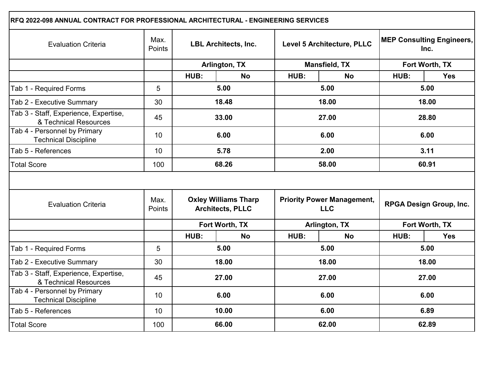| RFQ 2022-098 ANNUAL CONTRACT FOR PROFESSIONAL ARCHITECTURAL - ENGINEERING SERVICES |                                                                          |                                              |                                                 |                            |                                |                                          |                |  |
|------------------------------------------------------------------------------------|--------------------------------------------------------------------------|----------------------------------------------|-------------------------------------------------|----------------------------|--------------------------------|------------------------------------------|----------------|--|
| <b>Evaluation Criteria</b>                                                         | Max.<br>Points                                                           | <b>LBL Architects, Inc.</b><br>Arlington, TX |                                                 | Level 5 Architecture, PLLC |                                | <b>MEP Consulting Engineers,</b><br>Inc. |                |  |
|                                                                                    |                                                                          |                                              |                                                 |                            | <b>Mansfield, TX</b>           | Fort Worth, TX                           |                |  |
|                                                                                    |                                                                          | HUB:                                         | <b>No</b>                                       | HUB:                       | <b>No</b>                      | HUB:                                     | <b>Yes</b>     |  |
| Tab 1 - Required Forms                                                             | 5                                                                        | 5.00                                         |                                                 | 5.00                       |                                |                                          | 5.00           |  |
| Tab 2 - Executive Summary                                                          | 30                                                                       |                                              | 18.48                                           |                            | 18.00                          |                                          | 18.00          |  |
| Tab 3 - Staff, Experience, Expertise,<br>& Technical Resources                     | 45                                                                       |                                              | 33.00                                           |                            | 27.00                          |                                          | 28.80          |  |
| Tab 4 - Personnel by Primary<br><b>Technical Discipline</b>                        | 10 <sup>°</sup>                                                          | 6.00                                         |                                                 | 6.00                       |                                | 6.00                                     |                |  |
| Tab 5 - References                                                                 | 10 <sup>°</sup>                                                          | 5.78                                         |                                                 | 2.00                       |                                | 3.11                                     |                |  |
| <b>Total Score</b>                                                                 | 100                                                                      | 68.26                                        |                                                 | 58.00                      |                                | 60.91                                    |                |  |
| <b>Evaluation Criteria</b>                                                         | <b>Oxley Williams Tharp</b><br>Max.<br>Points<br><b>Architects, PLLC</b> |                                              | <b>Priority Power Management,</b><br><b>LLC</b> |                            | <b>RPGA Design Group, Inc.</b> |                                          |                |  |
|                                                                                    |                                                                          | Fort Worth, TX                               |                                                 | Arlington, TX              |                                |                                          | Fort Worth, TX |  |
|                                                                                    |                                                                          | HUB:                                         | <b>No</b>                                       | HUB:                       | <b>No</b>                      | HUB:                                     | <b>Yes</b>     |  |
| Tab 1 - Required Forms                                                             | 5                                                                        |                                              | 5.00                                            | 5.00                       |                                | 5.00                                     |                |  |
| Tab 2 - Executive Summary                                                          | 30                                                                       | 18.00                                        |                                                 | 18.00                      |                                | 18.00                                    |                |  |
| Tab 3 - Staff, Experience, Expertise,<br>& Technical Resources                     | 45                                                                       | 27.00                                        |                                                 | 27.00                      |                                | 27.00                                    |                |  |
| Tab 4 - Personnel by Primary<br><b>Technical Discipline</b>                        | 10 <sup>°</sup>                                                          | 6.00                                         |                                                 | 6.00                       |                                | 6.00                                     |                |  |
| Tab 5 - References                                                                 | 10 <sup>°</sup>                                                          |                                              | 10.00                                           |                            | 6.00                           |                                          | 6.89           |  |
| <b>Total Score</b>                                                                 | 100                                                                      | 66.00                                        |                                                 |                            | 62.00                          |                                          | 62.89          |  |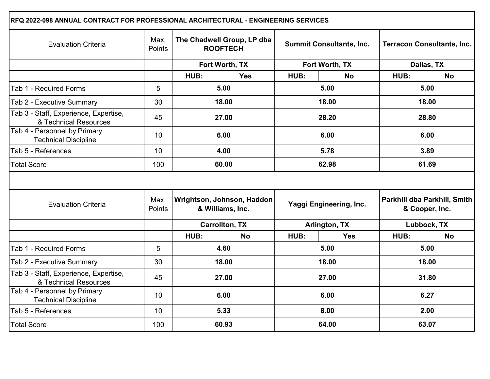| RFQ 2022-098 ANNUAL CONTRACT FOR PROFESSIONAL ARCHITECTURAL - ENGINEERING SERVICES |                 |                                                |                       |                                 |                |                                                |           |  |
|------------------------------------------------------------------------------------|-----------------|------------------------------------------------|-----------------------|---------------------------------|----------------|------------------------------------------------|-----------|--|
| <b>Evaluation Criteria</b>                                                         | Max.<br>Points  | The Chadwell Group, LP dba<br><b>ROOFTECH</b>  |                       | <b>Summit Consultants, Inc.</b> |                | <b>Terracon Consultants, Inc.</b>              |           |  |
|                                                                                    |                 |                                                | Fort Worth, TX        |                                 | Fort Worth, TX | Dallas, TX                                     |           |  |
|                                                                                    |                 | HUB:                                           | <b>Yes</b>            | HUB:                            | <b>No</b>      | HUB:                                           | <b>No</b> |  |
| Tab 1 - Required Forms                                                             | 5               | 5.00                                           |                       | 5.00                            |                |                                                | 5.00      |  |
| Tab 2 - Executive Summary                                                          | 30              |                                                | 18.00                 |                                 | 18.00          |                                                | 18.00     |  |
| Tab 3 - Staff, Experience, Expertise,<br>& Technical Resources                     | 45              |                                                | 27.00                 |                                 | 28.20          |                                                | 28.80     |  |
| Tab 4 - Personnel by Primary<br><b>Technical Discipline</b>                        | 10 <sup>1</sup> |                                                | 6.00                  |                                 | 6.00           |                                                | 6.00      |  |
| Tab 5 - References                                                                 | 10 <sup>1</sup> | 4.00                                           |                       | 5.78                            |                | 3.89                                           |           |  |
| <b>Total Score</b>                                                                 | 100             | 60.00                                          |                       | 62.98                           |                | 61.69                                          |           |  |
| <b>Evaluation Criteria</b>                                                         | Max.<br>Points  | Wrightson, Johnson, Haddon<br>& Williams, Inc. |                       | Yaggi Engineering, Inc.         |                | Parkhill dba Parkhill, Smith<br>& Cooper, Inc. |           |  |
|                                                                                    |                 |                                                | <b>Carrollton, TX</b> | Arlington, TX                   |                | Lubbock, TX                                    |           |  |
|                                                                                    |                 | HUB:                                           | <b>No</b>             | HUB:                            | <b>Yes</b>     | HUB:                                           | <b>No</b> |  |
| Tab 1 - Required Forms                                                             | 5               |                                                | 4.60                  | 5.00                            |                | 5.00                                           |           |  |
| Tab 2 - Executive Summary                                                          | 30              |                                                | 18.00                 | 18.00                           |                | 18.00                                          |           |  |
| Tab 3 - Staff, Experience, Expertise,<br>& Technical Resources                     | 45              | 27.00                                          |                       | 27.00                           |                | 31.80                                          |           |  |
| Tab 4 - Personnel by Primary<br><b>Technical Discipline</b>                        | 10 <sup>°</sup> | 6.00                                           |                       | 6.00                            |                | 6.27                                           |           |  |
| Tab 5 - References                                                                 | 10 <sup>1</sup> | 5.33                                           |                       | 8.00                            |                | 2.00                                           |           |  |
| <b>Total Score</b>                                                                 | 100             | 60.93                                          |                       | 64.00                           |                | 63.07                                          |           |  |